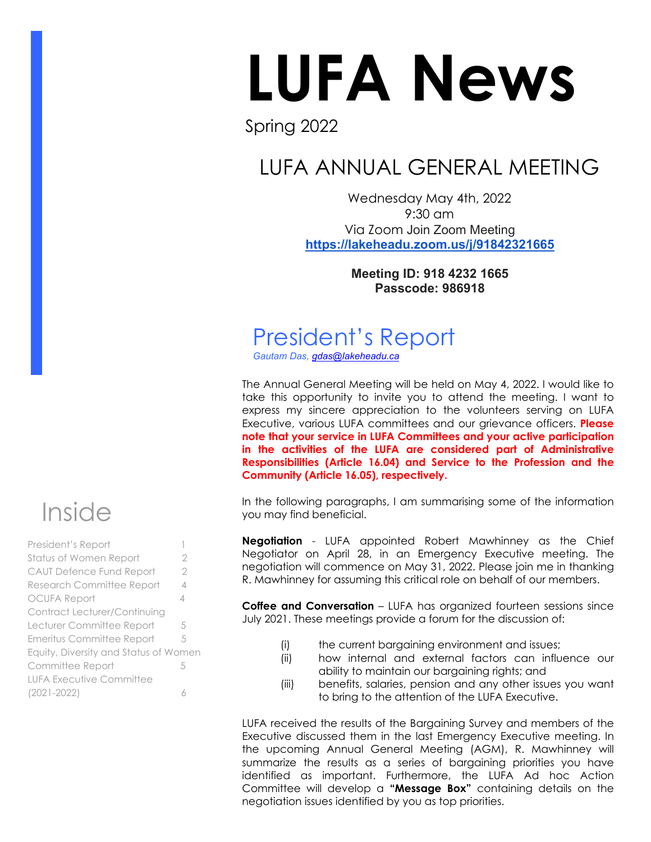# LUFA News

#### Spring 2022

# LUFA ANNUAL GENERAL MEETING

Wednesday May 4th, 2022 9:30 am Via Zoom Join Zoom Meeting **<https://lakeheadu.zoom.us/j/91842321665>**

> **Meeting ID: 918 4232 1665 Passcode: 986918**

# President's Report

*Gautam Das, [gdas@lakeheadu.ca](about:blank)*

The Annual General Meeting will be held on May 4, 2022. I would like to take this opportunity to invite you to attend the meeting. I want to express my sincere appreciation to the volunteers serving on LUFA Executive, various LUFA committees and our grievance officers. **Please note that your service in LUFA Committees and your active participation in the activities of the LUFA are considered part of Administrative Responsibilities (Article 16.04) and Service to the Profession and the Community (Article 16.05), respectively.** 

In the following paragraphs, I am summarising some of the information you may find beneficial.

**Negotiation** - LUFA appointed Robert Mawhinney as the Chief Negotiator on April 28, in an Emergency Executive meeting. The negotiation will commence on May 31, 2022. Please join me in thanking R. Mawhinney for assuming this critical role on behalf of our members.

**Coffee and Conversation** – LUFA has organized fourteen sessions since July 2021. These meetings provide a forum for the discussion of:

- (i) the current bargaining environment and issues;
- (ii) how internal and external factors can influence our ability to maintain our bargaining rights; and
- (iii) benefits, salaries, pension and any other issues you want to bring to the attention of the LUFA Executive.

LUFA received the results of the Bargaining Survey and members of the Executive discussed them in the last Emergency Executive meeting. In the upcoming Annual General Meeting (AGM), R. Mawhinney will summarize the results as a series of bargaining priorities you have identified as important. Furthermore, the LUFA Ad hoc Action Committee will develop a **"Message Box"** containing details on the negotiation issues identified by you as top priorities.



| President's Report                    |                |
|---------------------------------------|----------------|
| Status of Women Report                | 2              |
| <b>CAUT Defence Fund Report</b>       | 2              |
| <b>Research Committee Report</b>      | $\overline{4}$ |
| <b>OCUFA Report</b>                   | 4              |
| <b>Contract Lecturer/Continuing</b>   |                |
| Lecturer Committee Report             | 5              |
| Emeritus Committee Report             | 5              |
| Equity, Diversity and Status of Women |                |
| Committee Report                      | 5              |
| <b>LUFA Executive Committee</b>       |                |
| $(2021 - 2022)$                       | Á              |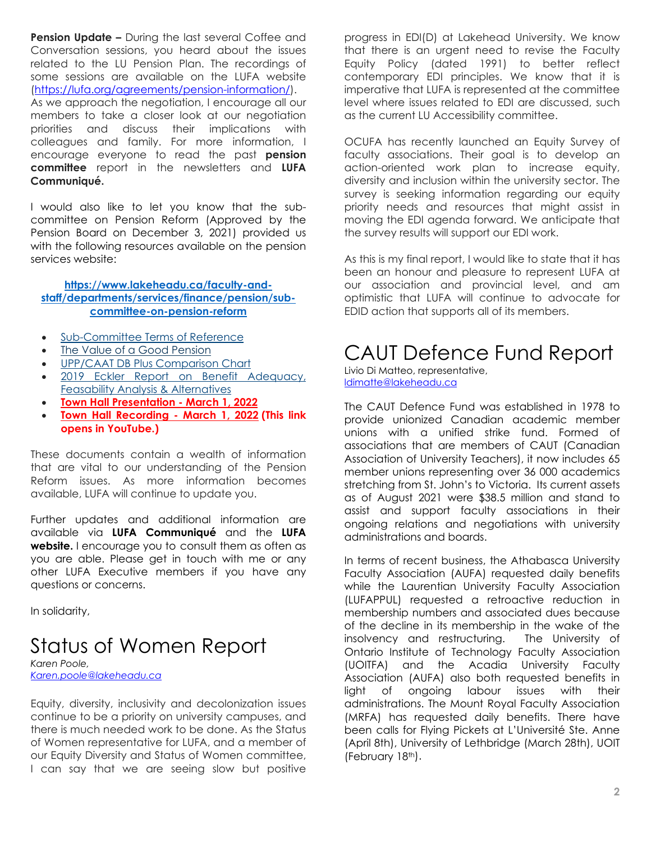**Pension Update –** During the last several Coffee and Conversation sessions, you heard about the issues related to the LU Pension Plan. The recordings of some sessions are available on the LUFA website [\(https://lufa.org/agreements/pension-information/\)](https://lufa.org/agreements/pension-information/).

As we approach the negotiation, I encourage all our members to take a closer look at our negotiation priorities and discuss their implications with colleagues and family. For more information, I encourage everyone to read the past **pension committee** report in the newsletters and **LUFA Communiqué.** 

I would also like to let you know that the subcommittee on Pension Reform (Approved by the Pension Board on December 3, 2021) provided us with the following resources available on the pension services website:

#### **[https://www.lakeheadu.ca/faculty-and](https://www.lakeheadu.ca/faculty-and-staff/departments/services/finance/pension/sub-committee-on-pension-reform)[staff/departments/services/finance/pension/sub](https://www.lakeheadu.ca/faculty-and-staff/departments/services/finance/pension/sub-committee-on-pension-reform)[committee-on-pension-reform](https://www.lakeheadu.ca/faculty-and-staff/departments/services/finance/pension/sub-committee-on-pension-reform)**

- [Sub-Committee Terms of Reference](https://www.lakeheadu.ca/sites/default/files/uploads/402/Microsoft%20Word%20-%20DRAFT%20Terms%20of%20Reference%20Ad%20Hoc%20Subcommittee%20on%20Pension%20Reform%20-%20August%202021.docx.pdf)
- [The Value of a Good Pension](https://www.lakeheadu.ca/sites/default/files/uploads/402/the-value-of-a-good-pension-102018.pdf)
- [UPP/CAAT DB Plus Comparison Chart](https://www.lakeheadu.ca/sites/default/files/uploads/402/UPP%20and%20DBPlus%20Comparison%20Chart.pdf)
- [2019 Eckler Report on Benefit Adequacy,](https://www.lakeheadu.ca/sites/default/files/uploads/402/External%20Review%20of%20Professional%20Plan%20-%202020.pdf)  [Feasability Analysis & Alternatives](https://www.lakeheadu.ca/sites/default/files/uploads/402/External%20Review%20of%20Professional%20Plan%20-%202020.pdf)
- **[Town Hall Presentation March 1, 2022](https://www.lakeheadu.ca/sites/default/files/uploads/402/Lakehead_Pension%20Town%20Hall%20presentation_March%202022%20final.pdf)**
- **[Town Hall Recording March 1, 2022](https://youtu.be/e7lTAWYdRY4) (This link opens in YouTube.)**

These documents contain a wealth of information that are vital to our understanding of the Pension Reform issues. As more information becomes available, LUFA will continue to update you.

Further updates and additional information are available via **LUFA Communiqué** and the **LUFA website.** I encourage you to consult them as often as you are able. Please get in touch with me or any other LUFA Executive members if you have any questions or concerns.

In solidarity,

## Status of Women Report

*Karen Poole, [Karen.poole@lakeheadu.ca](about:blank)* 

Equity, diversity, inclusivity and decolonization issues continue to be a priority on university campuses, and there is much needed work to be done. As the Status of Women representative for LUFA, and a member of our Equity Diversity and Status of Women committee, I can say that we are seeing slow but positive

progress in EDI(D) at Lakehead University. We know that there is an urgent need to revise the Faculty Equity Policy (dated 1991) to better reflect contemporary EDI principles. We know that it is imperative that LUFA is represented at the committee level where issues related to EDI are discussed, such as the current LU Accessibility committee.

OCUFA has recently launched an Equity Survey of faculty associations. Their goal is to develop an action-oriented work plan to increase equity, diversity and inclusion within the university sector. The survey is seeking information regarding our equity priority needs and resources that might assist in moving the EDI agenda forward. We anticipate that the survey results will support our EDI work.

As this is my final report, I would like to state that it has been an honour and pleasure to represent LUFA at our association and provincial level, and am optimistic that LUFA will continue to advocate for EDID action that supports all of its members.

#### CAUT Defence Fund Report

Livio Di Matteo, representative, [ldimatte@lakeheadu.ca](mailto:ldimatte@lakeheadu.ca) 

The CAUT Defence Fund was established in 1978 to provide unionized Canadian academic member unions with a unified strike fund. Formed of associations that are members of CAUT (Canadian Association of University Teachers), it now includes 65 member unions representing over 36 000 academics stretching from St. John's to Victoria. Its current assets as of August 2021 were \$38.5 million and stand to assist and support faculty associations in their ongoing relations and negotiations with university administrations and boards.

In terms of recent business, the Athabasca University Faculty Association (AUFA) requested daily benefits while the Laurentian University Faculty Association (LUFAPPUL) requested a retroactive reduction in membership numbers and associated dues because of the decline in its membership in the wake of the insolvency and restructuring. The University of Ontario Institute of Technology Faculty Association (UOITFA) and the Acadia University Faculty Association (AUFA) also both requested benefits in light of ongoing labour issues with their administrations. The Mount Royal Faculty Association (MRFA) has requested daily benefits. There have been calls for Flying Pickets at L'Université Ste. Anne (April 8th), University of Lethbridge (March 28th), UOIT (February 18th).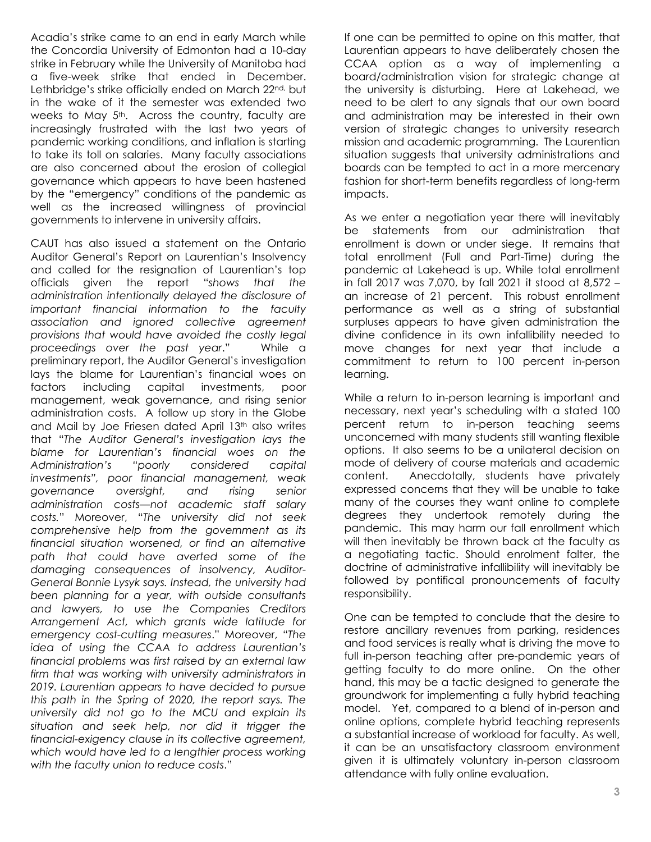Acadia's strike came to an end in early March while the Concordia University of Edmonton had a 10-day strike in February while the University of Manitoba had a five-week strike that ended in December. Lethbridge's strike officially ended on March 22nd, but in the wake of it the semester was extended two weeks to May 5<sup>th</sup>. Across the country, faculty are increasingly frustrated with the last two years of pandemic working conditions, and inflation is starting to take its toll on salaries. Many faculty associations are also concerned about the erosion of collegial governance which appears to have been hastened by the "emergency" conditions of the pandemic as well as the increased willingness of provincial governments to intervene in university affairs.

CAUT has also issued a statement on the Ontario Auditor General's Report on Laurentian's Insolvency and called for the resignation of Laurentian's top officials given the report "*shows that the administration intentionally delayed the disclosure of important financial information to the faculty association and ignored collective agreement provisions that would have avoided the costly legal proceedings over the past year*." While a preliminary report, the Auditor General's investigation lays the blame for Laurentian's financial woes on factors including capital investments, poor management, weak governance, and rising senior administration costs. A follow up story in the Globe and Mail by Joe Friesen dated April 13th also writes that "*The Auditor General's investigation lays the blame for Laurentian's financial woes on the Administration's "poorly considered capital investments", poor financial management, weak governance oversight, and rising senior administration costs—not academic staff salary costs.*" Moreover, "*The university did not seek comprehensive help from the government as its financial situation worsened, or find an alternative path that could have averted some of the damaging consequences of insolvency, Auditor-General Bonnie Lysyk says. Instead, the university had been planning for a year, with outside consultants and lawyers, to use the Companies Creditors Arrangement Act, which grants wide latitude for emergency cost-cutting measures*." Moreover, "*The idea of using the CCAA to address Laurentian's financial problems was first raised by an external law firm that was working with university administrators in 2019. Laurentian appears to have decided to pursue this path in the Spring of 2020, the report says. The university did not go to the MCU and explain its situation and seek help, nor did it trigger the financial-exigency clause in its collective agreement, which would have led to a lengthier process working with the faculty union to reduce costs*."

If one can be permitted to opine on this matter, that Laurentian appears to have deliberately chosen the CCAA option as a way of implementing a board/administration vision for strategic change at the university is disturbing. Here at Lakehead, we need to be alert to any signals that our own board and administration may be interested in their own version of strategic changes to university research mission and academic programming. The Laurentian situation suggests that university administrations and boards can be tempted to act in a more mercenary fashion for short-term benefits regardless of long-term impacts.

As we enter a negotiation year there will inevitably be statements from our administration that enrollment is down or under siege. It remains that total enrollment (Full and Part-Time) during the pandemic at Lakehead is up. While total enrollment in fall 2017 was 7,070, by fall 2021 it stood at 8,572 – an increase of 21 percent. This robust enrollment performance as well as a string of substantial surpluses appears to have given administration the divine confidence in its own infallibility needed to move changes for next year that include a commitment to return to 100 percent in-person learning.

While a return to in-person learning is important and necessary, next year's scheduling with a stated 100 percent return to in-person teaching seems unconcerned with many students still wanting flexible options. It also seems to be a unilateral decision on mode of delivery of course materials and academic content. Anecdotally, students have privately expressed concerns that they will be unable to take many of the courses they want online to complete degrees they undertook remotely during the pandemic. This may harm our fall enrollment which will then inevitably be thrown back at the faculty as a negotiating tactic. Should enrolment falter, the doctrine of administrative infallibility will inevitably be followed by pontifical pronouncements of faculty responsibility.

One can be tempted to conclude that the desire to restore ancillary revenues from parking, residences and food services is really what is driving the move to full in-person teaching after pre-pandemic years of getting faculty to do more online. On the other hand, this may be a tactic designed to generate the groundwork for implementing a fully hybrid teaching model. Yet, compared to a blend of in-person and online options, complete hybrid teaching represents a substantial increase of workload for faculty. As well, it can be an unsatisfactory classroom environment given it is ultimately voluntary in-person classroom attendance with fully online evaluation.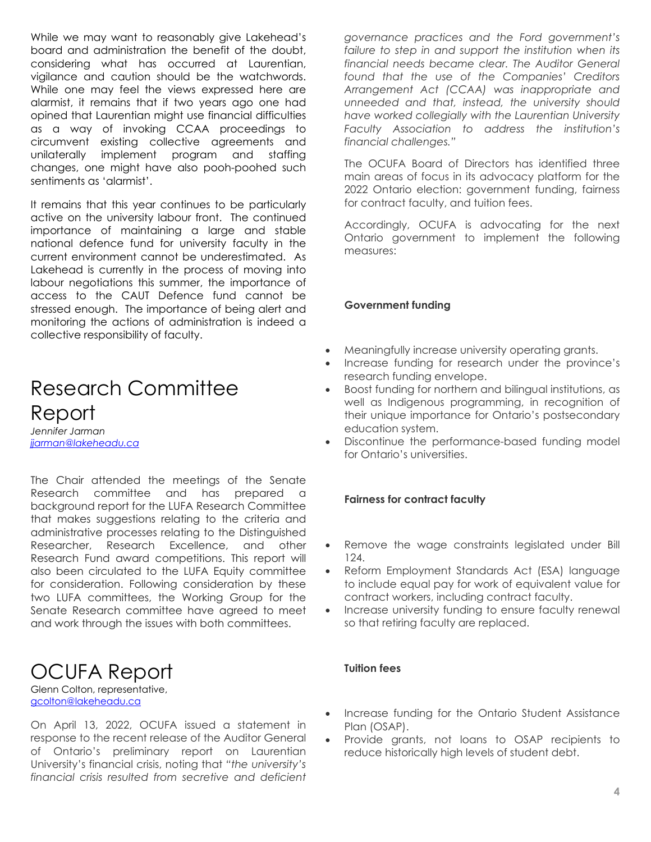While we may want to reasonably give Lakehead's board and administration the benefit of the doubt, considering what has occurred at Laurentian, vigilance and caution should be the watchwords. While one may feel the views expressed here are alarmist, it remains that if two years ago one had opined that Laurentian might use financial difficulties as a way of invoking CCAA proceedings to circumvent existing collective agreements and unilaterally implement program and staffing changes, one might have also pooh-poohed such sentiments as 'alarmist'.

It remains that this year continues to be particularly active on the university labour front. The continued importance of maintaining a large and stable national defence fund for university faculty in the current environment cannot be underestimated. As Lakehead is currently in the process of moving into labour negotiations this summer, the importance of access to the CAUT Defence fund cannot be stressed enough. The importance of being alert and monitoring the actions of administration is indeed a collective responsibility of faculty.

## Research Committee Report

*Jennifer Jarman [jjarman@lakeheadu.ca](mailto:jjarman@lakeheadu.ca)* 

The Chair attended the meetings of the Senate Research committee and has prepared a background report for the LUFA Research Committee that makes suggestions relating to the criteria and administrative processes relating to the Distinguished Researcher, Research Excellence, and other Research Fund award competitions. This report will also been circulated to the LUFA Equity committee for consideration. Following consideration by these two LUFA committees, the Working Group for the Senate Research committee have agreed to meet and work through the issues with both committees.

#### OCUFA Report

Glenn Colton, representative, [gcolton@lakeheadu.ca](mailto:gcolton@lakeheadu.ca) 

On April 13, 2022, OCUFA issued a statement in response to the recent release of the Auditor General of Ontario's preliminary report on Laurentian University's financial crisis, noting that *"the university's financial crisis resulted from secretive and deficient* 

*governance practices and the Ford government's*  failure to step in and support the institution when its *financial needs became clear. The Auditor General found that the use of the Companies' Creditors Arrangement Act (CCAA) was inappropriate and unneeded and that, instead, the university should have worked collegially with the Laurentian University Faculty Association to address the institution's financial challenges."*

The OCUFA Board of Directors has identified three main areas of focus in its advocacy platform for the 2022 Ontario election: government funding, fairness for contract faculty, and tuition fees.

Accordingly, OCUFA is advocating for the next Ontario government to implement the following measures:

#### **Government funding**

- Meaningfully increase university operating grants.
- Increase funding for research under the province's research funding envelope.
- Boost funding for northern and bilingual institutions, as well as Indigenous programming, in recognition of their unique importance for Ontario's postsecondary education system.
- Discontinue the performance-based funding model for Ontario's universities.

#### **Fairness for contract faculty**

- Remove the wage constraints legislated under Bill 124.
- Reform Employment Standards Act (ESA) language to include equal pay for work of equivalent value for contract workers, including contract faculty.
- Increase university funding to ensure faculty renewal so that retiring faculty are replaced.

#### **Tuition fees**

- Increase funding for the Ontario Student Assistance Plan (OSAP).
- Provide grants, not loans to OSAP recipients to reduce historically high levels of student debt.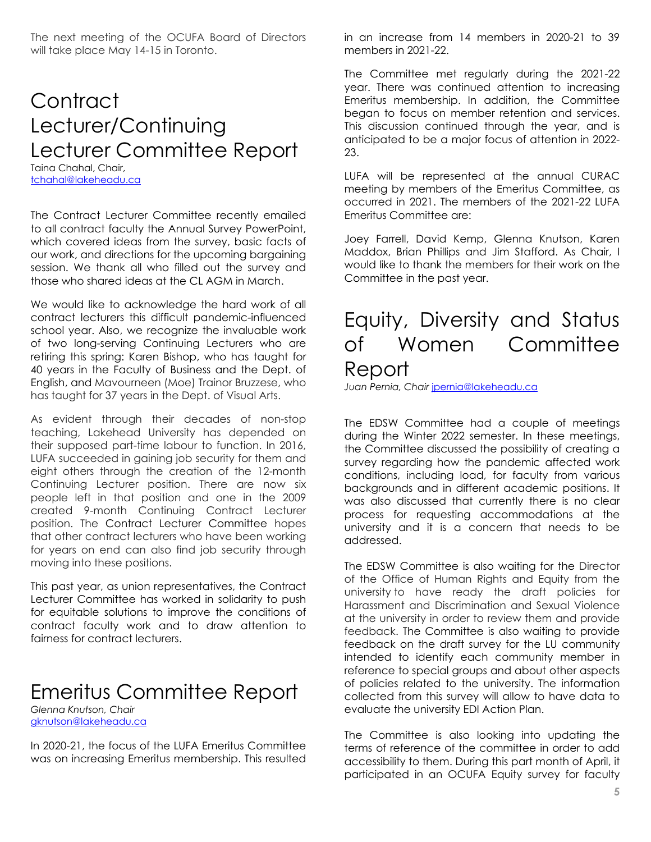The next meeting of the OCUFA Board of Directors will take place May 14-15 in Toronto.

## **Contract** Lecturer/Continuing Lecturer Committee Report

Taina Chahal, Chair, [tchahal@lakeheadu.ca](about:blank)

The Contract Lecturer Committee recently emailed to all contract faculty the Annual Survey PowerPoint, which covered ideas from the survey, basic facts of our work, and directions for the upcoming bargaining session. We thank all who filled out the survey and those who shared ideas at the CL AGM in March.

We would like to acknowledge the hard work of all contract lecturers this difficult pandemic-influenced school year. Also, we recognize the invaluable work of two long-serving Continuing Lecturers who are retiring this spring: Karen Bishop, who has taught for 40 years in the Faculty of Business and the Dept. of English, and Mavourneen (Moe) Trainor Bruzzese, who has taught for 37 years in the Dept. of Visual Arts.

As evident through their decades of non-stop teaching, Lakehead University has depended on their supposed part-time labour to function. In 2016, LUFA succeeded in gaining job security for them and eight others through the creation of the 12-month Continuing Lecturer position. There are now six people left in that position and one in the 2009 created 9-month Continuing Contract Lecturer position. The Contract Lecturer Committee hopes that other contract lecturers who have been working for years on end can also find job security through moving into these positions.

This past year, as union representatives, the Contract Lecturer Committee has worked in solidarity to push for equitable solutions to improve the conditions of contract faculty work and to draw attention to fairness for contract lecturers.

#### Emeritus Committee Report

*Glenna Knutson, Chair* [gknutson@lakeheadu.ca](mailto:gknutson@lakeheadu.ca) 

In 2020-21, the focus of the LUFA Emeritus Committee was on increasing Emeritus membership. This resulted in an increase from 14 members in 2020-21 to 39 members in 2021-22.

The Committee met regularly during the 2021-22 year. There was continued attention to increasing Emeritus membership. In addition, the Committee began to focus on member retention and services. This discussion continued through the year, and is anticipated to be a major focus of attention in 2022- 23.

LUFA will be represented at the annual CURAC meeting by members of the Emeritus Committee, as occurred in 2021. The members of the 2021-22 LUFA Emeritus Committee are:

Joey Farrell, David Kemp, Glenna Knutson, Karen Maddox, Brian Phillips and Jim Stafford. As Chair, I would like to thank the members for their work on the Committee in the past year.

## Equity, Diversity and Status of Women Committee Report

*Juan Pernia, Chair* [jpernia@lakeheadu.ca](mailto:gknutson@lakeheadu.ca)

The EDSW Committee had a couple of meetings during the Winter 2022 semester. In these meetings, the Committee discussed the possibility of creating a survey regarding how the pandemic affected work conditions, including load, for faculty from various backgrounds and in different academic positions. It was also discussed that currently there is no clear process for requesting accommodations at the university and it is a concern that needs to be addressed.

The EDSW Committee is also waiting for the Director of the Office of Human Rights and Equity from the university to have ready the draft policies for Harassment and Discrimination and Sexual Violence at the university in order to review them and provide feedback. The Committee is also waiting to provide feedback on the draft survey for the LU community intended to identify each community member in reference to special groups and about other aspects of policies related to the university. The information collected from this survey will allow to have data to evaluate the university EDI Action Plan.

The Committee is also looking into updating the terms of reference of the committee in order to add accessibility to them. During this part month of April, it participated in an OCUFA Equity survey for faculty